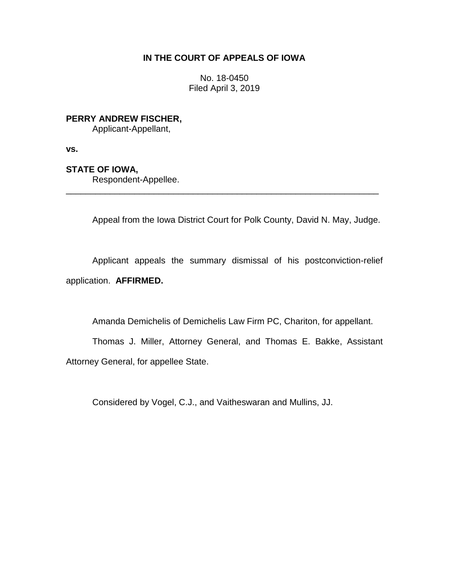# **IN THE COURT OF APPEALS OF IOWA**

No. 18-0450 Filed April 3, 2019

**PERRY ANDREW FISCHER,**

Applicant-Appellant,

**vs.**

# **STATE OF IOWA,**

Respondent-Appellee.

Appeal from the Iowa District Court for Polk County, David N. May, Judge.

Applicant appeals the summary dismissal of his postconviction-relief application. **AFFIRMED.**

\_\_\_\_\_\_\_\_\_\_\_\_\_\_\_\_\_\_\_\_\_\_\_\_\_\_\_\_\_\_\_\_\_\_\_\_\_\_\_\_\_\_\_\_\_\_\_\_\_\_\_\_\_\_\_\_\_\_\_\_\_\_\_\_

Amanda Demichelis of Demichelis Law Firm PC, Chariton, for appellant.

Thomas J. Miller, Attorney General, and Thomas E. Bakke, Assistant Attorney General, for appellee State.

Considered by Vogel, C.J., and Vaitheswaran and Mullins, JJ.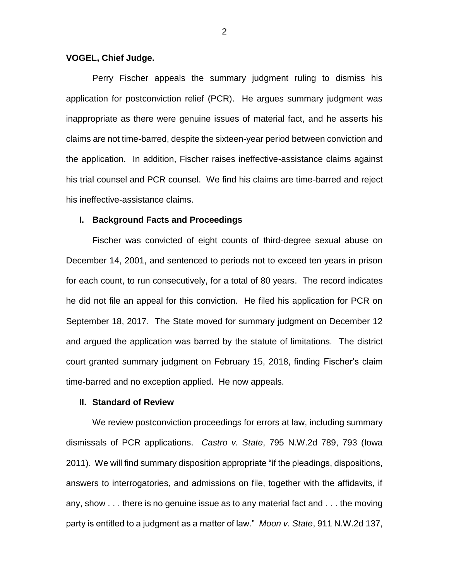### **VOGEL, Chief Judge.**

Perry Fischer appeals the summary judgment ruling to dismiss his application for postconviction relief (PCR). He argues summary judgment was inappropriate as there were genuine issues of material fact, and he asserts his claims are not time-barred, despite the sixteen-year period between conviction and the application. In addition, Fischer raises ineffective-assistance claims against his trial counsel and PCR counsel. We find his claims are time-barred and reject his ineffective-assistance claims.

### **I. Background Facts and Proceedings**

Fischer was convicted of eight counts of third-degree sexual abuse on December 14, 2001, and sentenced to periods not to exceed ten years in prison for each count, to run consecutively, for a total of 80 years. The record indicates he did not file an appeal for this conviction. He filed his application for PCR on September 18, 2017. The State moved for summary judgment on December 12 and argued the application was barred by the statute of limitations. The district court granted summary judgment on February 15, 2018, finding Fischer's claim time-barred and no exception applied. He now appeals.

### **II. Standard of Review**

We review postconviction proceedings for errors at law, including summary dismissals of PCR applications. *Castro v. State*, 795 N.W.2d 789, 793 (Iowa 2011). We will find summary disposition appropriate "if the pleadings, dispositions, answers to interrogatories, and admissions on file, together with the affidavits, if any, show . . . there is no genuine issue as to any material fact and . . . the moving party is entitled to a judgment as a matter of law." *Moon v. State*, 911 N.W.2d 137,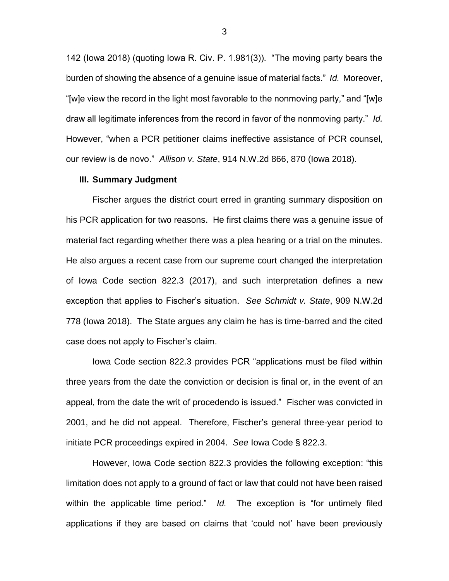142 (Iowa 2018) (quoting Iowa R. Civ. P. 1.981(3)). "The moving party bears the burden of showing the absence of a genuine issue of material facts." *Id.* Moreover, "[w]e view the record in the light most favorable to the nonmoving party," and "[w]e draw all legitimate inferences from the record in favor of the nonmoving party." *Id.*  However, "when a PCR petitioner claims ineffective assistance of PCR counsel, our review is de novo." *Allison v. State*, 914 N.W.2d 866, 870 (Iowa 2018).

#### **III. Summary Judgment**

Fischer argues the district court erred in granting summary disposition on his PCR application for two reasons. He first claims there was a genuine issue of material fact regarding whether there was a plea hearing or a trial on the minutes. He also argues a recent case from our supreme court changed the interpretation of Iowa Code section 822.3 (2017), and such interpretation defines a new exception that applies to Fischer's situation. *See Schmidt v. State*, 909 N.W.2d 778 (Iowa 2018). The State argues any claim he has is time-barred and the cited case does not apply to Fischer's claim.

Iowa Code section 822.3 provides PCR "applications must be filed within three years from the date the conviction or decision is final or, in the event of an appeal, from the date the writ of procedendo is issued." Fischer was convicted in 2001, and he did not appeal. Therefore, Fischer's general three-year period to initiate PCR proceedings expired in 2004. *See* Iowa Code § 822.3.

However, Iowa Code section 822.3 provides the following exception: "this limitation does not apply to a ground of fact or law that could not have been raised within the applicable time period." *Id.* The exception is "for untimely filed applications if they are based on claims that 'could not' have been previously

3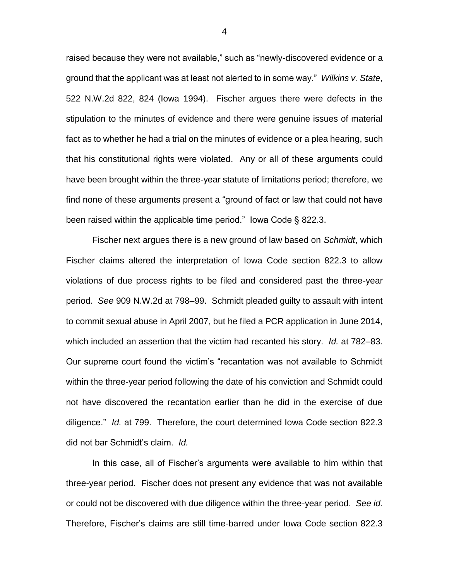raised because they were not available," such as "newly-discovered evidence or a ground that the applicant was at least not alerted to in some way." *Wilkins v. State*, 522 N.W.2d 822, 824 (Iowa 1994). Fischer argues there were defects in the stipulation to the minutes of evidence and there were genuine issues of material fact as to whether he had a trial on the minutes of evidence or a plea hearing, such that his constitutional rights were violated. Any or all of these arguments could have been brought within the three-year statute of limitations period; therefore, we find none of these arguments present a "ground of fact or law that could not have been raised within the applicable time period." Iowa Code § 822.3.

Fischer next argues there is a new ground of law based on *Schmidt*, which Fischer claims altered the interpretation of Iowa Code section 822.3 to allow violations of due process rights to be filed and considered past the three-year period. *See* 909 N.W.2d at 798–99. Schmidt pleaded guilty to assault with intent to commit sexual abuse in April 2007, but he filed a PCR application in June 2014, which included an assertion that the victim had recanted his story. *Id.* at 782–83. Our supreme court found the victim's "recantation was not available to Schmidt within the three-year period following the date of his conviction and Schmidt could not have discovered the recantation earlier than he did in the exercise of due diligence." *Id.* at 799. Therefore, the court determined Iowa Code section 822.3 did not bar Schmidt's claim. *Id.* 

In this case, all of Fischer's arguments were available to him within that three-year period. Fischer does not present any evidence that was not available or could not be discovered with due diligence within the three-year period. *See id.* Therefore, Fischer's claims are still time-barred under Iowa Code section 822.3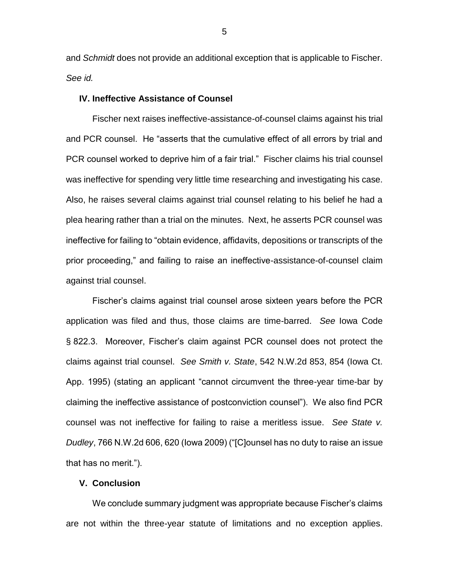and *Schmidt* does not provide an additional exception that is applicable to Fischer. *See id.* 

## **IV. Ineffective Assistance of Counsel**

Fischer next raises ineffective-assistance-of-counsel claims against his trial and PCR counsel. He "asserts that the cumulative effect of all errors by trial and PCR counsel worked to deprive him of a fair trial." Fischer claims his trial counsel was ineffective for spending very little time researching and investigating his case. Also, he raises several claims against trial counsel relating to his belief he had a plea hearing rather than a trial on the minutes. Next, he asserts PCR counsel was ineffective for failing to "obtain evidence, affidavits, depositions or transcripts of the prior proceeding," and failing to raise an ineffective-assistance-of-counsel claim against trial counsel.

Fischer's claims against trial counsel arose sixteen years before the PCR application was filed and thus, those claims are time-barred. *See* Iowa Code § 822.3. Moreover, Fischer's claim against PCR counsel does not protect the claims against trial counsel. *See Smith v. State*, 542 N.W.2d 853, 854 (Iowa Ct. App. 1995) (stating an applicant "cannot circumvent the three-year time-bar by claiming the ineffective assistance of postconviction counsel"). We also find PCR counsel was not ineffective for failing to raise a meritless issue. *See State v. Dudley*, 766 N.W.2d 606, 620 (Iowa 2009) ("[C]ounsel has no duty to raise an issue that has no merit.").

# **V. Conclusion**

We conclude summary judgment was appropriate because Fischer's claims are not within the three-year statute of limitations and no exception applies.

5